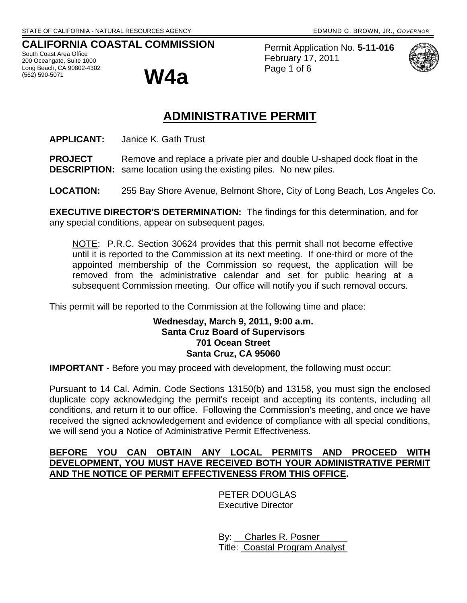## **CALIFORNIA COASTAL COMMISSION**

South Coast Area Office 200 Oceangate, Suite 1000 Long Beach, CA 90802-4302  $\mathbf{W4a}$ 

Permit Application No. **5-11-016** February 17, 2011 Page 1 of 6



## **ADMINISTRATIVE PERMIT**

**APPLICANT:** Janice K. Gath Trust

**PROJECT** Remove and replace a private pier and double U-shaped dock float in the **DESCRIPTION:** same location using the existing piles. No new piles.

**LOCATION:** 255 Bay Shore Avenue, Belmont Shore, City of Long Beach, Los Angeles Co.

**EXECUTIVE DIRECTOR'S DETERMINATION:** The findings for this determination, and for any special conditions, appear on subsequent pages.

NOTE: P.R.C. Section 30624 provides that this permit shall not become effective until it is reported to the Commission at its next meeting. If one-third or more of the appointed membership of the Commission so request, the application will be removed from the administrative calendar and set for public hearing at a subsequent Commission meeting. Our office will notify you if such removal occurs.

This permit will be reported to the Commission at the following time and place:

#### **Wednesday, March 9, 2011, 9:00 a.m. Santa Cruz Board of Supervisors 701 Ocean Street Santa Cruz, CA 95060**

**IMPORTANT** - Before you may proceed with development, the following must occur:

Pursuant to 14 Cal. Admin. Code Sections 13150(b) and 13158, you must sign the enclosed duplicate copy acknowledging the permit's receipt and accepting its contents, including all conditions, and return it to our office. Following the Commission's meeting, and once we have received the signed acknowledgement and evidence of compliance with all special conditions, we will send you a Notice of Administrative Permit Effectiveness.

#### **BEFORE YOU CAN OBTAIN ANY LOCAL PERMITS AND PROCEED WITH DEVELOPMENT, YOU MUST HAVE RECEIVED BOTH YOUR ADMINISTRATIVE PERMIT AND THE NOTICE OF PERMIT EFFECTIVENESS FROM THIS OFFICE.**

 PETER DOUGLAS Executive Director

 By: Charles R. Posner Title: Coastal Program Analyst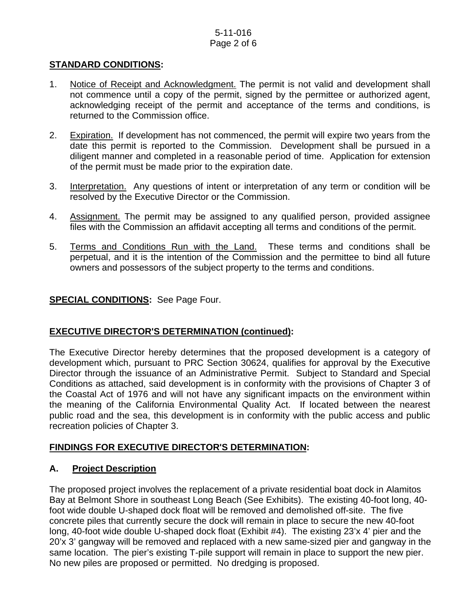## 5-11-016 Page 2 of 6

### **STANDARD CONDITIONS:**

- 1. Notice of Receipt and Acknowledgment. The permit is not valid and development shall not commence until a copy of the permit, signed by the permittee or authorized agent, acknowledging receipt of the permit and acceptance of the terms and conditions, is returned to the Commission office.
- 2. Expiration. If development has not commenced, the permit will expire two years from the date this permit is reported to the Commission. Development shall be pursued in a diligent manner and completed in a reasonable period of time. Application for extension of the permit must be made prior to the expiration date.
- 3. Interpretation. Any questions of intent or interpretation of any term or condition will be resolved by the Executive Director or the Commission.
- 4. Assignment. The permit may be assigned to any qualified person, provided assignee files with the Commission an affidavit accepting all terms and conditions of the permit.
- 5. Terms and Conditions Run with the Land. These terms and conditions shall be perpetual, and it is the intention of the Commission and the permittee to bind all future owners and possessors of the subject property to the terms and conditions.

## **SPECIAL CONDITIONS:** See Page Four.

#### **EXECUTIVE DIRECTOR'S DETERMINATION (continued):**

The Executive Director hereby determines that the proposed development is a category of development which, pursuant to PRC Section 30624, qualifies for approval by the Executive Director through the issuance of an Administrative Permit. Subject to Standard and Special Conditions as attached, said development is in conformity with the provisions of Chapter 3 of the Coastal Act of 1976 and will not have any significant impacts on the environment within the meaning of the California Environmental Quality Act. If located between the nearest public road and the sea, this development is in conformity with the public access and public recreation policies of Chapter 3.

## **FINDINGS FOR EXECUTIVE DIRECTOR'S DETERMINATION:**

#### **A. Project Description**

The proposed project involves the replacement of a private residential boat dock in Alamitos Bay at Belmont Shore in southeast Long Beach (See Exhibits). The existing 40-foot long, 40 foot wide double U-shaped dock float will be removed and demolished off-site. The five concrete piles that currently secure the dock will remain in place to secure the new 40-foot long, 40-foot wide double U-shaped dock float (Exhibit #4). The existing 23'x 4' pier and the 20'x 3' gangway will be removed and replaced with a new same-sized pier and gangway in the same location. The pier's existing T-pile support will remain in place to support the new pier. No new piles are proposed or permitted. No dredging is proposed.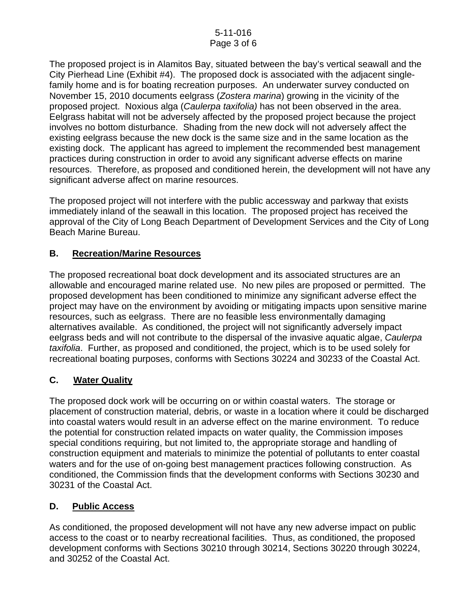## 5-11-016 Page 3 of 6

The proposed project is in Alamitos Bay, situated between the bay's vertical seawall and the City Pierhead Line (Exhibit #4). The proposed dock is associated with the adjacent singlefamily home and is for boating recreation purposes. An underwater survey conducted on November 15, 2010 documents eelgrass (*Zostera marina*) growing in the vicinity of the proposed project. Noxious alga (*Caulerpa taxifolia)* has not been observed in the area. Eelgrass habitat will not be adversely affected by the proposed project because the project involves no bottom disturbance. Shading from the new dock will not adversely affect the existing eelgrass because the new dock is the same size and in the same location as the existing dock. The applicant has agreed to implement the recommended best management practices during construction in order to avoid any significant adverse effects on marine resources. Therefore, as proposed and conditioned herein, the development will not have any significant adverse affect on marine resources.

The proposed project will not interfere with the public accessway and parkway that exists immediately inland of the seawall in this location. The proposed project has received the approval of the City of Long Beach Department of Development Services and the City of Long Beach Marine Bureau.

## **B. Recreation/Marine Resources**

The proposed recreational boat dock development and its associated structures are an allowable and encouraged marine related use. No new piles are proposed or permitted. The proposed development has been conditioned to minimize any significant adverse effect the project may have on the environment by avoiding or mitigating impacts upon sensitive marine resources, such as eelgrass. There are no feasible less environmentally damaging alternatives available. As conditioned, the project will not significantly adversely impact eelgrass beds and will not contribute to the dispersal of the invasive aquatic algae, *Caulerpa taxifolia*. Further, as proposed and conditioned, the project, which is to be used solely for recreational boating purposes, conforms with Sections 30224 and 30233 of the Coastal Act.

## **C. Water Quality**

The proposed dock work will be occurring on or within coastal waters. The storage or placement of construction material, debris, or waste in a location where it could be discharged into coastal waters would result in an adverse effect on the marine environment. To reduce the potential for construction related impacts on water quality, the Commission imposes special conditions requiring, but not limited to, the appropriate storage and handling of construction equipment and materials to minimize the potential of pollutants to enter coastal waters and for the use of on-going best management practices following construction. As conditioned, the Commission finds that the development conforms with Sections 30230 and 30231 of the Coastal Act.

## **D. Public Access**

As conditioned, the proposed development will not have any new adverse impact on public access to the coast or to nearby recreational facilities. Thus, as conditioned, the proposed development conforms with Sections 30210 through 30214, Sections 30220 through 30224, and 30252 of the Coastal Act.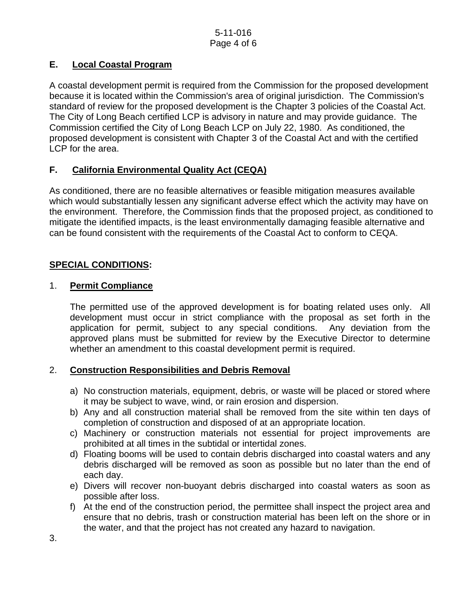## **E. Local Coastal Program**

A coastal development permit is required from the Commission for the proposed development because it is located within the Commission's area of original jurisdiction. The Commission's standard of review for the proposed development is the Chapter 3 policies of the Coastal Act. The City of Long Beach certified LCP is advisory in nature and may provide guidance. The Commission certified the City of Long Beach LCP on July 22, 1980. As conditioned, the proposed development is consistent with Chapter 3 of the Coastal Act and with the certified LCP for the area.

## **F. California Environmental Quality Act (CEQA)**

As conditioned, there are no feasible alternatives or feasible mitigation measures available which would substantially lessen any significant adverse effect which the activity may have on the environment. Therefore, the Commission finds that the proposed project, as conditioned to mitigate the identified impacts, is the least environmentally damaging feasible alternative and can be found consistent with the requirements of the Coastal Act to conform to CEQA.

## **SPECIAL CONDITIONS:**

## 1. **Permit Compliance**

 The permitted use of the approved development is for boating related uses only. All development must occur in strict compliance with the proposal as set forth in the application for permit, subject to any special conditions. Any deviation from the approved plans must be submitted for review by the Executive Director to determine whether an amendment to this coastal development permit is required.

## 2. **Construction Responsibilities and Debris Removal**

- a) No construction materials, equipment, debris, or waste will be placed or stored where it may be subject to wave, wind, or rain erosion and dispersion.
- b) Any and all construction material shall be removed from the site within ten days of completion of construction and disposed of at an appropriate location.
- c) Machinery or construction materials not essential for project improvements are prohibited at all times in the subtidal or intertidal zones.
- d) Floating booms will be used to contain debris discharged into coastal waters and any debris discharged will be removed as soon as possible but no later than the end of each day.
- e) Divers will recover non-buoyant debris discharged into coastal waters as soon as possible after loss.
- f) At the end of the construction period, the permittee shall inspect the project area and ensure that no debris, trash or construction material has been left on the shore or in the water, and that the project has not created any hazard to navigation.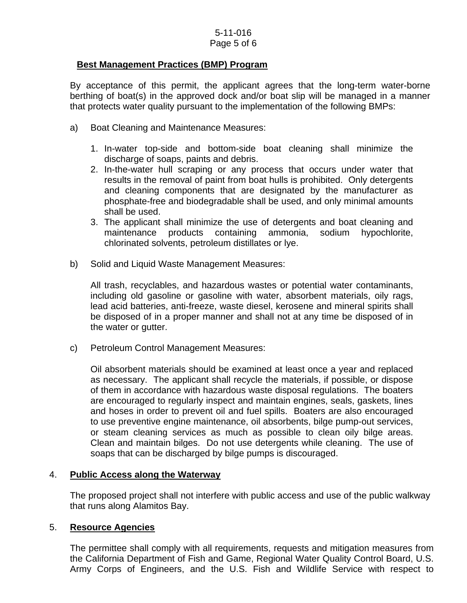#### 5-11-016 Page 5 of 6

## **Best Management Practices (BMP) Program**

By acceptance of this permit, the applicant agrees that the long-term water-borne berthing of boat(s) in the approved dock and/or boat slip will be managed in a manner that protects water quality pursuant to the implementation of the following BMPs:

- a) Boat Cleaning and Maintenance Measures:
	- 1. In-water top-side and bottom-side boat cleaning shall minimize the discharge of soaps, paints and debris.
	- 2. In-the-water hull scraping or any process that occurs under water that results in the removal of paint from boat hulls is prohibited. Only detergents and cleaning components that are designated by the manufacturer as phosphate-free and biodegradable shall be used, and only minimal amounts shall be used.
	- 3. The applicant shall minimize the use of detergents and boat cleaning and maintenance products containing ammonia, sodium hypochlorite, chlorinated solvents, petroleum distillates or lye.
- b) Solid and Liquid Waste Management Measures:

All trash, recyclables, and hazardous wastes or potential water contaminants, including old gasoline or gasoline with water, absorbent materials, oily rags, lead acid batteries, anti-freeze, waste diesel, kerosene and mineral spirits shall be disposed of in a proper manner and shall not at any time be disposed of in the water or gutter.

c) Petroleum Control Management Measures:

Oil absorbent materials should be examined at least once a year and replaced as necessary. The applicant shall recycle the materials, if possible, or dispose of them in accordance with hazardous waste disposal regulations. The boaters are encouraged to regularly inspect and maintain engines, seals, gaskets, lines and hoses in order to prevent oil and fuel spills. Boaters are also encouraged to use preventive engine maintenance, oil absorbents, bilge pump-out services, or steam cleaning services as much as possible to clean oily bilge areas. Clean and maintain bilges. Do not use detergents while cleaning. The use of soaps that can be discharged by bilge pumps is discouraged.

#### 4. **Public Access along the Waterway**

The proposed project shall not interfere with public access and use of the public walkway that runs along Alamitos Bay.

#### 5. **Resource Agencies**

The permittee shall comply with all requirements, requests and mitigation measures from the California Department of Fish and Game, Regional Water Quality Control Board, U.S. Army Corps of Engineers, and the U.S. Fish and Wildlife Service with respect to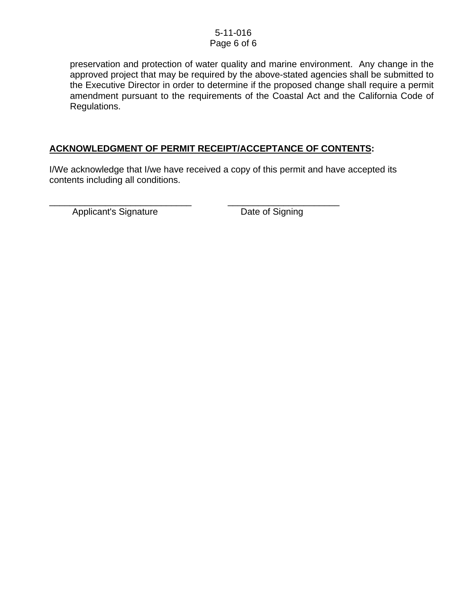#### 5-11-016 Page 6 of 6

preservation and protection of water quality and marine environment. Any change in the approved project that may be required by the above-stated agencies shall be submitted to the Executive Director in order to determine if the proposed change shall require a permit amendment pursuant to the requirements of the Coastal Act and the California Code of Regulations.

## **ACKNOWLEDGMENT OF PERMIT RECEIPT/ACCEPTANCE OF CONTENTS:**

\_\_\_\_\_\_\_\_\_\_\_\_\_\_\_\_\_\_\_\_\_\_\_\_\_\_\_\_ \_\_\_\_\_\_\_\_\_\_\_\_\_\_\_\_\_\_\_\_\_\_

I/We acknowledge that I/we have received a copy of this permit and have accepted its contents including all conditions.

Applicant's Signature Date of Signing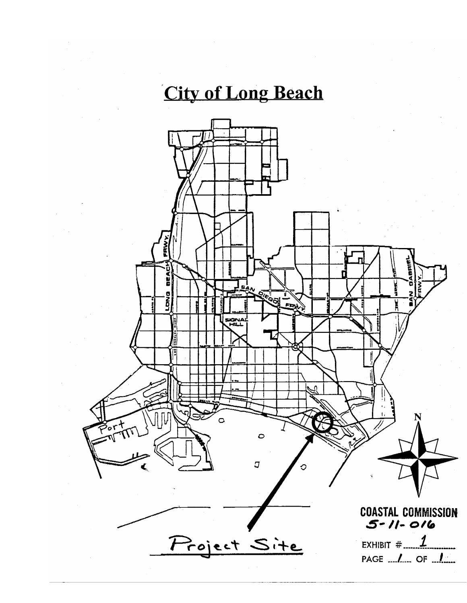# **City of Long Beach**

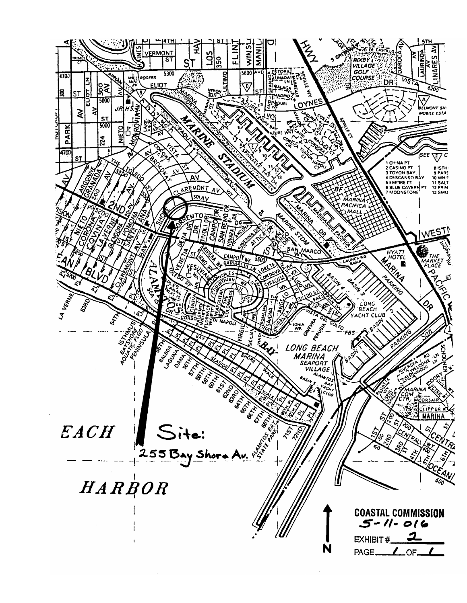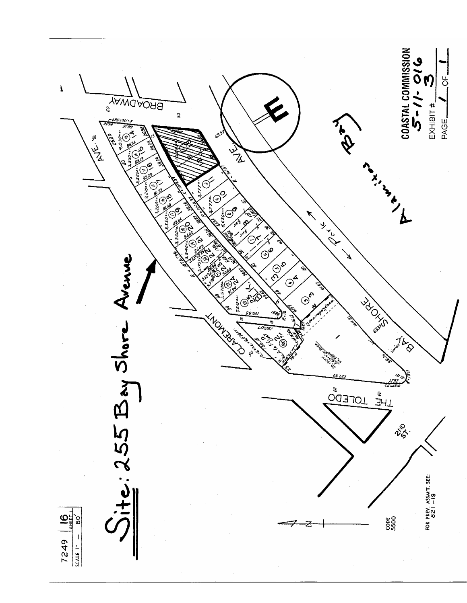